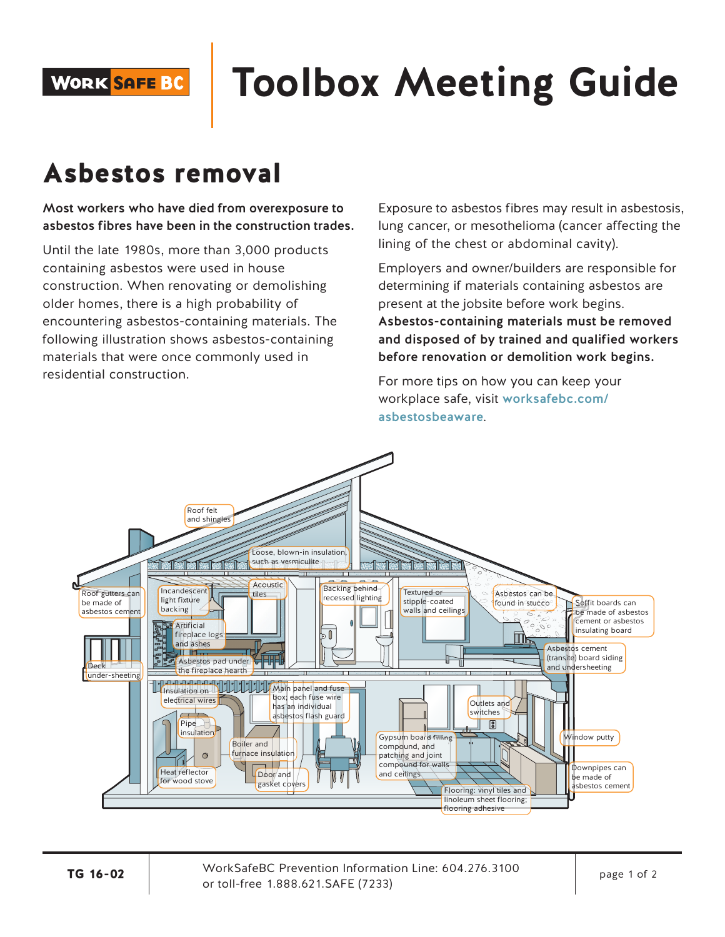**WORK SAFE BC** 

# **Toolbox Meeting Guide**

## Asbestos removal

Most workers who have died from overexposure to asbestos fibres have been in the construction trades.

Until the late 1980s, more than 3,000 products containing asbestos were used in house construction. When renovating or demolishing older homes, there is a high probability of encountering asbestos-containing materials. The following illustration shows asbestos-containing materials that were once commonly used in residential construction.

Exposure to asbestos fibres may result in asbestosis, lung cancer, or mesothelioma (cancer affecting the lining of the chest or abdominal cavity).

Employers and owner/builders are responsible for determining if materials containing asbestos are present at the jobsite before work begins. Asbestos-containing materials must be removed and disposed of by trained and qualified workers before renovation or demolition work begins.

For more tips on how you can keep your workplace safe, visit worksafebc.com/ asbestosbeaware.